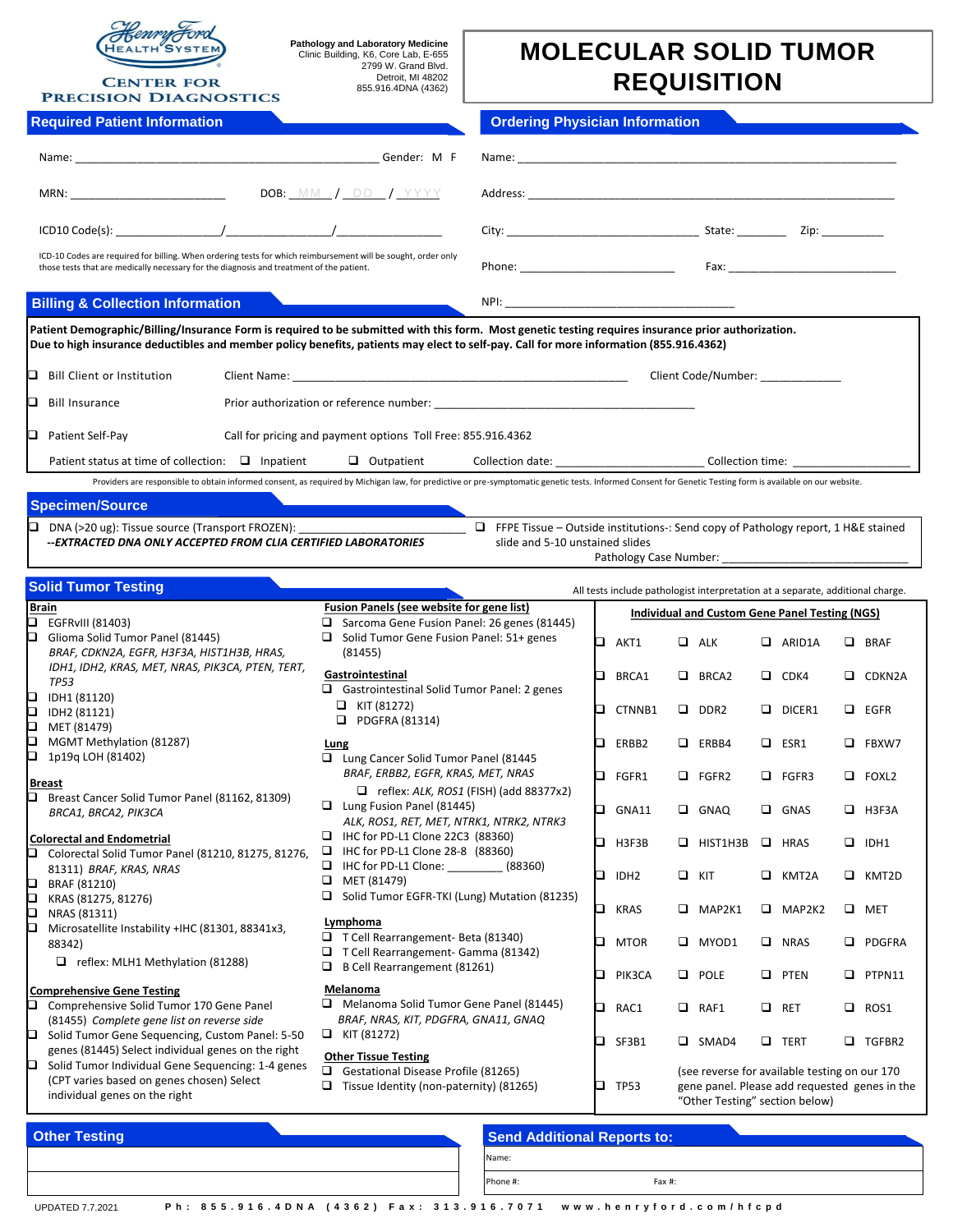

**CENTER FOR PRECISION DIAGNOSTICS** 

**Pathology and Laboratory Medicine** Clinic Building, K6, Core Lab, E-655 2799 W. Grand Blvd. Detroit, MI 48202 855.916.4DNA (4362)

## **MOLECULAR SOLID TUMOR REQUISITION**

| <b>Required Patient Information</b>                                                                                                                                                                                                                                                           | <b>Ordering Physician Information</b>                                                                                                                                                                                                                                                                                                                                                                                                                                  |
|-----------------------------------------------------------------------------------------------------------------------------------------------------------------------------------------------------------------------------------------------------------------------------------------------|------------------------------------------------------------------------------------------------------------------------------------------------------------------------------------------------------------------------------------------------------------------------------------------------------------------------------------------------------------------------------------------------------------------------------------------------------------------------|
|                                                                                                                                                                                                                                                                                               |                                                                                                                                                                                                                                                                                                                                                                                                                                                                        |
| DOB: MM / $DD$ / $YYYY$                                                                                                                                                                                                                                                                       |                                                                                                                                                                                                                                                                                                                                                                                                                                                                        |
| $\Box$ ICD10 Code(s): $\qquad \qquad /$                                                                                                                                                                                                                                                       | City: City: City: City: City: City: City: City: City: City: City: City: City: City: City: City: City: City: City: City: City: City: City: City: City: City: City: City: City: City: City: City: City: City: City: City: City:                                                                                                                                                                                                                                          |
| ICD-10 Codes are required for billing. When ordering tests for which reimbursement will be sought, order only<br>those tests that are medically necessary for the diagnosis and treatment of the patient.                                                                                     | Phone: <u>with the contract of the contract of the contract of the contract of the contract of the contract of the contract of the contract of the contract of the contract of the contract of the contract of the contract of t</u><br>Fax: Fax: Experimental Property of the Contract of the Contract of the Contract of the Contract of the Contract of the Contract of the Contract of the Contract of the Contract of the Contract of the Contract of the Contrac |
| Billing & Collection Information                                                                                                                                                                                                                                                              |                                                                                                                                                                                                                                                                                                                                                                                                                                                                        |
| Patient Demographic/Billing/Insurance Form is required to be submitted with this form. Most genetic testing requires insurance prior authorization.<br>Due to high insurance deductibles and member policy benefits, patients may elect to self-pay. Call for more information (855.916.4362) |                                                                                                                                                                                                                                                                                                                                                                                                                                                                        |

| Bill Client or Institution            | Client Name:                             |   |                                                              |                  | Client Code/Number:                                                                                                                                                                                        |
|---------------------------------------|------------------------------------------|---|--------------------------------------------------------------|------------------|------------------------------------------------------------------------------------------------------------------------------------------------------------------------------------------------------------|
| <b>Bill Insurance</b>                 | Prior authorization or reference number: |   |                                                              |                  |                                                                                                                                                                                                            |
| Patient Self-Pay                      |                                          |   | Call for pricing and payment options Toll Free: 855.916.4362 |                  |                                                                                                                                                                                                            |
| Patient status at time of collection: | $\Box$ Inpatient                         | ┙ | Outpatient                                                   | Collection date: | Collection time:                                                                                                                                                                                           |
|                                       |                                          |   |                                                              |                  | Providers are responsible to obtain informed consent, as required by Michigan law, for predictive or pre-symptomatic genetic tests. Informed Consent for Genetic Testing form is available on our website. |

## **Specimen/Source**

 $\Box$  DNA (>20 ug): Tissue source (Transport FROZEN): **--***EXTRACTED DNA ONLY ACCEPTED FROM CLIA CERTIFIED LABORATORIES*  FFPE Tissue – Outside institutions-: Send copy of Pathology report, 1 H&E stained slide and 5-10 unstained slides

Pathology Case Number:

| <b>Solid Tumor Testing</b>                                                                                                                                           |                                                                                                                    |    | All tests include pathologist interpretation at a separate, additional charge.                                                                  |        |                 |        |                                                |        |               |
|----------------------------------------------------------------------------------------------------------------------------------------------------------------------|--------------------------------------------------------------------------------------------------------------------|----|-------------------------------------------------------------------------------------------------------------------------------------------------|--------|-----------------|--------|------------------------------------------------|--------|---------------|
| <b>Brain</b><br>o.<br>EGFRvIII (81403)                                                                                                                               | Fusion Panels (see website for gene list)<br>Sarcoma Gene Fusion Panel: 26 genes (81445)<br>$\Box$                 |    |                                                                                                                                                 |        |                 |        | Individual and Custom Gene Panel Testing (NGS) |        |               |
| o<br>Glioma Solid Tumor Panel (81445)<br>BRAF, CDKN2A, EGFR, H3F3A, HIST1H3B, HRAS,                                                                                  | Solid Tumor Gene Fusion Panel: 51+ genes<br>(81455)                                                                | O. | AKT1                                                                                                                                            |        | $\Box$ ALK      |        | $\Box$ ARID1A                                  | $\Box$ | <b>BRAF</b>   |
| IDH1, IDH2, KRAS, MET, NRAS, PIK3CA, PTEN, TERT,<br><b>TP53</b><br>IDH1 (81120)<br>o                                                                                 | Gastrointestinal<br>$\Box$ Gastrointestinal Solid Tumor Panel: 2 genes                                             | ◻  | BRCA1                                                                                                                                           | $\Box$ | BRCA2           | $\Box$ | CDK4                                           | ▫      | CDKN2A        |
| О<br>IDH2 (81121)<br>О<br>MET (81479)                                                                                                                                | $\Box$ KIT (81272)<br>$\Box$<br>PDGFRA (81314)                                                                     | □. | CTNNB1                                                                                                                                          |        | $\Box$ DDR2     |        | $\Box$ DICER1                                  |        | $\Box$ EGFR   |
| О<br>MGMT Methylation (81287)<br>О<br>1p19g LOH (81402)                                                                                                              | Lung<br>Lung Cancer Solid Tumor Panel (81445                                                                       | n. | ERBB2                                                                                                                                           |        | $\Box$ ERBB4    | $\Box$ | ESR1                                           | □      | FBXW7         |
| <b>Breast</b><br>Breast Cancer Solid Tumor Panel (81162, 81309)                                                                                                      | BRAF, ERBB2, EGFR, KRAS, MET, NRAS<br>$\Box$ reflex: ALK, ROS1 (FISH) (add 88377x2)                                | o. | FGFR1                                                                                                                                           |        | $\Box$ FGFR2    |        | $\Box$ FGFR3                                   |        | $\Box$ FOXL2  |
| BRCA1, BRCA2, PIK3CA                                                                                                                                                 | $\Box$ Lung Fusion Panel (81445)<br>ALK, ROS1, RET, MET, NTRK1, NTRK2, NTRK3                                       | o. | GNA11                                                                                                                                           |        | $\Box$ GNAQ     | $\Box$ | GNAS                                           | □      | H3F3A         |
| <b>Colorectal and Endometrial</b><br>Colorectal Solid Tumor Panel (81210, 81275, 81276,                                                                              | IHC for PD-L1 Clone 22C3 (88360)<br>IHC for PD-L1 Clone 28-8 (88360)<br>IHC for PD-L1 Clone: _______<br>(88360)    | o. | H3F3B                                                                                                                                           |        | $\Box$ HIST1H3B |        | $\Box$ HRAS                                    | $\Box$ | IDH1          |
| 81311) BRAF, KRAS, NRAS<br>BRAF (81210)<br>o<br>p<br>KRAS (81275, 81276)                                                                                             | MET (81479)<br>□<br>Solid Tumor EGFR-TKI (Lung) Mutation (81235)                                                   | o. | IDH <sub>2</sub>                                                                                                                                | $\Box$ | KIT             | □      | KMT2A                                          | o.     | KMT2D         |
| O<br>NRAS (81311)<br>О<br>Microsatellite Instability +IHC (81301, 88341x3,                                                                                           | Lymphoma                                                                                                           | ◻  | <b>KRAS</b>                                                                                                                                     | $\Box$ | MAP2K1          |        | $\Box$ MAP2K2                                  |        | $\Box$ MET    |
| 88342)<br>$\Box$ reflex: MLH1 Methylation (81288)                                                                                                                    | □ T Cell Rearrangement- Beta (81340)<br>$\Box$ T Cell Rearrangement- Gamma (81342)<br>B Cell Rearrangement (81261) | ם  | <b>MTOR</b>                                                                                                                                     | $\Box$ | MYOD1           | $\Box$ | <b>NRAS</b>                                    | □      | <b>PDGFRA</b> |
| <b>Comprehensive Gene Testing</b>                                                                                                                                    | Melanoma                                                                                                           | n  | PIK3CA                                                                                                                                          |        | $\Box$ POLE     | □      | PTEN                                           | □      | PTPN11        |
| Comprehensive Solid Tumor 170 Gene Panel<br>u<br>(81455) Complete gene list on reverse side                                                                          | Melanoma Solid Tumor Gene Panel (81445)<br>BRAF, NRAS, KIT, PDGFRA, GNA11, GNAQ<br>$\Box$ KIT (81272)              | b. | RAC1                                                                                                                                            | $\Box$ | RAF1            | □      | <b>RET</b>                                     | □      | ROS1          |
| Solid Tumor Gene Sequencing, Custom Panel: 5-50<br>o<br>genes (81445) Select individual genes on the right<br>Solid Tumor Individual Gene Sequencing: 1-4 genes<br>o | <b>Other Tissue Testing</b>                                                                                        | ר  | SF3B1                                                                                                                                           |        | $\Box$ SMAD4    |        | $\Box$ TERT                                    |        | <b>TGFBR2</b> |
| (CPT varies based on genes chosen) Select<br>individual genes on the right                                                                                           | Gestational Disease Profile (81265)<br>Tissue Identity (non-paternity) (81265)<br>$\Box$                           | ⊐  | (see reverse for available testing on our 170<br><b>TP53</b><br>gene panel. Please add requested genes in the<br>"Other Testing" section below) |        |                 |        |                                                |        |               |
| Othor Tooting                                                                                                                                                        | <b>Canal Additional Donauto to:</b>                                                                                |    |                                                                                                                                                 |        |                 |        |                                                |        |               |

| <b>Other Testing</b> |  | <b>Send Additional Reports to:</b> |  |  |  |  |  |
|----------------------|--|------------------------------------|--|--|--|--|--|
|                      |  | Name:                              |  |  |  |  |  |
|                      |  | IPhone #:<br>Fax #:                |  |  |  |  |  |